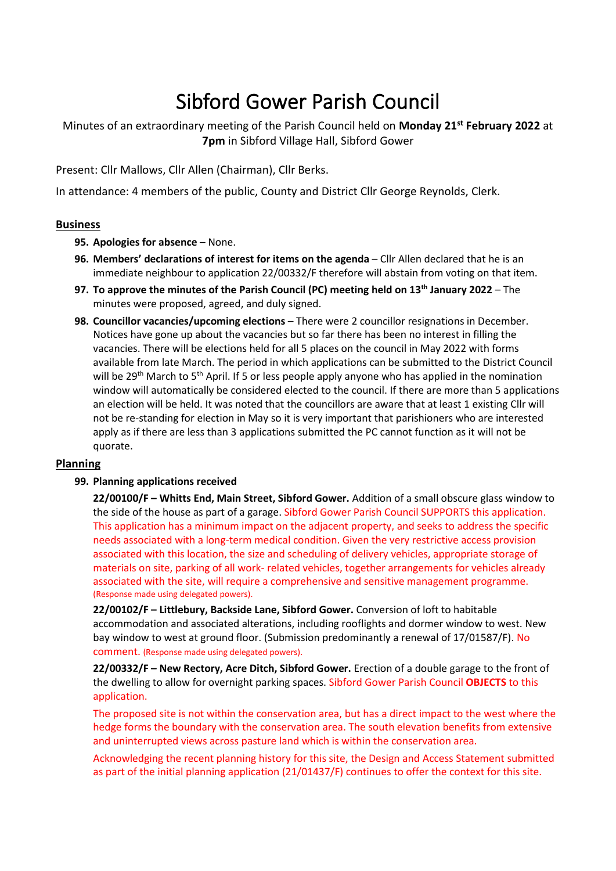# Sibford Gower Parish Council

Minutes of an extraordinary meeting of the Parish Council held on **Monday 21 st February 2022** at **7pm** in Sibford Village Hall, Sibford Gower

Present: Cllr Mallows, Cllr Allen (Chairman), Cllr Berks.

In attendance: 4 members of the public, County and District Cllr George Reynolds, Clerk.

# **Business**

- **95. Apologies for absence** None.
- **96. Members' declarations of interest for items on the agenda** Cllr Allen declared that he is an immediate neighbour to application 22/00332/F therefore will abstain from voting on that item.
- **97. To approve the minutes of the Parish Council (PC) meeting held on 13th January 2022** The minutes were proposed, agreed, and duly signed.
- **98. Councillor vacancies/upcoming elections** There were 2 councillor resignations in December. Notices have gone up about the vacancies but so far there has been no interest in filling the vacancies. There will be elections held for all 5 places on the council in May 2022 with forms available from late March. The period in which applications can be submitted to the District Council will be 29<sup>th</sup> March to 5<sup>th</sup> April. If 5 or less people apply anyone who has applied in the nomination window will automatically be considered elected to the council. If there are more than 5 applications an election will be held. It was noted that the councillors are aware that at least 1 existing Cllr will not be re-standing for election in May so it is very important that parishioners who are interested apply as if there are less than 3 applications submitted the PC cannot function as it will not be quorate.

# **Planning**

# **99. Planning applications received**

**22/00100/F – Whitts End, Main Street, Sibford Gower.** Addition of a small obscure glass window to the side of the house as part of a garage. Sibford Gower Parish Council SUPPORTS this application. This application has a minimum impact on the adjacent property, and seeks to address the specific needs associated with a long-term medical condition. Given the very restrictive access provision associated with this location, the size and scheduling of delivery vehicles, appropriate storage of materials on site, parking of all work- related vehicles, together arrangements for vehicles already associated with the site, will require a comprehensive and sensitive management programme. (Response made using delegated powers).

**22/00102/F – Littlebury, Backside Lane, Sibford Gower.** Conversion of loft to habitable accommodation and associated alterations, including rooflights and dormer window to west. New bay window to west at ground floor. (Submission predominantly a renewal of 17/01587/F). No comment. (Response made using delegated powers).

**22/00332/F – New Rectory, Acre Ditch, Sibford Gower.** Erection of a double garage to the front of the dwelling to allow for overnight parking spaces. Sibford Gower Parish Council **OBJECTS** to this application.

The proposed site is not within the conservation area, but has a direct impact to the west where the hedge forms the boundary with the conservation area. The south elevation benefits from extensive and uninterrupted views across pasture land which is within the conservation area.

Acknowledging the recent planning history for this site, the Design and Access Statement submitted as part of the initial planning application (21/01437/F) continues to offer the context for this site.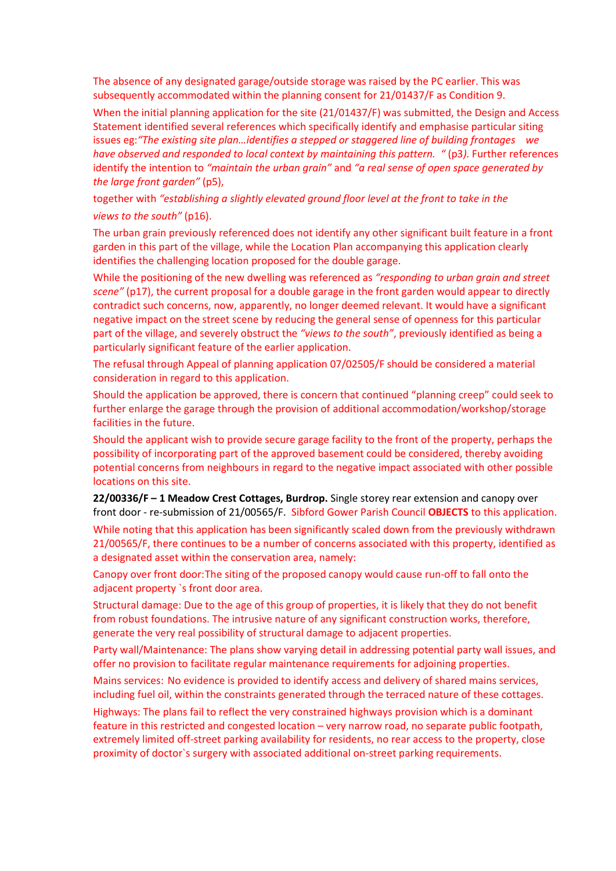The absence of any designated garage/outside storage was raised by the PC earlier. This was subsequently accommodated within the planning consent for 21/01437/F as Condition 9.

When the initial planning application for the site (21/01437/F) was submitted, the Design and Access Statement identified several references which specifically identify and emphasise particular siting issues eg:*"The existing site plan…identifies a stepped or staggered line of building frontages we have observed and responded to local context by maintaining this pattern. "* (p3*).* Further references identify the intention to *"maintain the urban grain"* and *"a real sense of open space generated by the large front garden"* (p5),

together with *"establishing a slightly elevated ground floor level at the front to take in the views to the south"* (p16).

The urban grain previously referenced does not identify any other significant built feature in a front garden in this part of the village, while the Location Plan accompanying this application clearly identifies the challenging location proposed for the double garage.

While the positioning of the new dwelling was referenced as *"responding to urban grain and street scene"* (p17), the current proposal for a double garage in the front garden would appear to directly contradict such concerns, now, apparently, no longer deemed relevant. It would have a significant negative impact on the street scene by reducing the general sense of openness for this particular part of the village, and severely obstruct the *"views to the south"*, previously identified as being a particularly significant feature of the earlier application.

The refusal through Appeal of planning application 07/02505/F should be considered a material consideration in regard to this application.

Should the application be approved, there is concern that continued "planning creep" could seek to further enlarge the garage through the provision of additional accommodation/workshop/storage facilities in the future.

Should the applicant wish to provide secure garage facility to the front of the property, perhaps the possibility of incorporating part of the approved basement could be considered, thereby avoiding potential concerns from neighbours in regard to the negative impact associated with other possible locations on this site.

**22/00336/F – 1 Meadow Crest Cottages, Burdrop.** Single storey rear extension and canopy over front door - re-submission of 21/00565/F. Sibford Gower Parish Council **OBJECTS** to this application.

While noting that this application has been significantly scaled down from the previously withdrawn 21/00565/F, there continues to be a number of concerns associated with this property, identified as a designated asset within the conservation area, namely:

Canopy over front door:The siting of the proposed canopy would cause run-off to fall onto the adjacent property `s front door area.

Structural damage: Due to the age of this group of properties, it is likely that they do not benefit from robust foundations. The intrusive nature of any significant construction works, therefore, generate the very real possibility of structural damage to adjacent properties.

Party wall/Maintenance: The plans show varying detail in addressing potential party wall issues, and offer no provision to facilitate regular maintenance requirements for adjoining properties.

Mains services: No evidence is provided to identify access and delivery of shared mains services, including fuel oil, within the constraints generated through the terraced nature of these cottages.

Highways: The plans fail to reflect the very constrained highways provision which is a dominant feature in this restricted and congested location – very narrow road, no separate public footpath, extremely limited off-street parking availability for residents, no rear access to the property, close proximity of doctor`s surgery with associated additional on-street parking requirements.